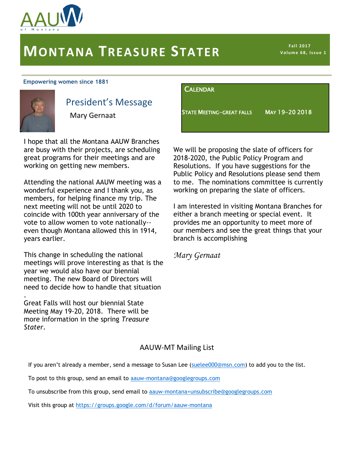

# **MONTANA TREASURE STATER**

**Fall 2017 V o lu m e 6 8, I s s u e 1**

#### **Empowering women since 1881**



.

## President's Message

Mary Gernaat

I hope that all the Montana AAUW Branches are busy with their projects, are scheduling great programs for their meetings and are working on getting new members.

Attending the national AAUW meeting was a wonderful experience and I thank you, as members, for helping finance my trip. The next meeting will not be until 2020 to coincide with 100th year anniversary of the vote to allow women to vote nationally- even though Montana allowed this in 1914, years earlier.

This change in scheduling the national meetings will prove interesting as that is the year we would also have our biennial meeting. The new Board of Directors will need to decide how to handle that situation

Great Falls will host our biennial State Meeting May 19-20, 2018. There will be more information in the spring *Treasure Stater.* 

#### CALENDAR

STATE MEETING-GREAT FALLS MAY 19-20 2018

We will be proposing the slate of officers for 2018-2020, the Public Policy Program and Resolutions. If you have suggestions for the Public Policy and Resolutions please send them to me. The nominations committee is currently working on preparing the slate of officers.

I am interested in visiting Montana Branches for either a branch meeting or special event. It provides me an opportunity to meet more of our members and see the great things that your branch is accomplishing

*Mary Gernaat*

#### AAUW-MT Mailing List

If you aren't already a member, send a message to Susan Lee ([suelee000@msn.com\)](mailto:suelee000@msn.com) to add you to the list.

To post to this group, send an email to [aauw-montana@googlegroups.com](mailto:aauw-montana@googlegroups.com)

To unsubscribe from this group, send email to [aauw-montana+unsubscribe@googlegroups.com](mailto:aauw-montana+unsubscribe@googlegroups.com)

Visit this group at<https://groups.google.com/d/forum/aauw-montana>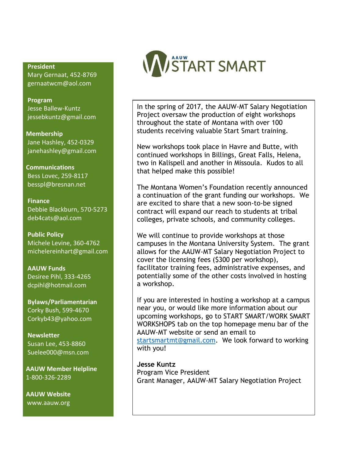**President**

 Mary Gernaat, 452-8769 [gernaatwcm@aol.com](mailto:gernaatwcm@aol.com)

 **Program** Jesse Ballew-Kuntz jessebkuntz@gmail.com

 **Membership** Jane Hashley, 452-0329 janehashley@gmail.com

**Communications** Bess Lovec, 259-8117 [besspl@bresnan.net](mailto:besspl@bresnan.net)

 **Finance** Debbie Blackburn, 570-5273 [deb4cats@aol.com](mailto:deb4cats@aol.com)

 **Public Policy** Michele Levine, 360-4762 michelereinhart@gmail.com

 **AAUW Funds** Desiree Pihl, 333-4265 [dcpihl@hotmail.com](mailto:dcpihl@hotmail.com)

 **Bylaws/Parliamentarian** Corky Bush, 599-4670 [Corkyb43@yahoo.com](mailto:Corkyb43@yahoo.com)

 **Newsletter** Susan Lee, 453-8860 [Suelee000@msn.com](mailto:Suelee000@msn.com)

 **AAUW Member Helpline** 1-800-326-2289

 **AAUW Website** [www.aauw.org](http://www.aauw.org/)



In the spring of 2017, the AAUW-MT Salary Negotiation Project oversaw the production of eight workshops throughout the state of Montana with over 100 students receiving valuable Start Smart training.

New workshops took place in Havre and Butte, with continued workshops in Billings, Great Falls, Helena, two in Kalispell and another in Missoula. Kudos to all that helped make this possible!

The Montana Women's Foundation recently announced a continuation of the grant funding our workshops. We are excited to share that a new soon-to-be signed contract will expand our reach to students at tribal colleges, private schools, and community colleges.

We will continue to provide workshops at those campuses in the Montana University System. The grant allows for the AAUW-MT Salary Negotiation Project to cover the licensing fees (\$300 per workshop), facilitator training fees, administrative expenses, and potentially some of the other costs involved in hosting a workshop.

If you are interested in hosting a workshop at a campus near you, or would like more information about our upcoming workshops, go to START SMART/WORK SMART WORKSHOPS tab on the top homepage menu bar of the AAUW-MT website or send an email to [startsmartmt@gmail.com.](mailto:startsmartmt@gmail.com) We look forward to working with you!

**Jesse Kuntz**  Program Vice President Grant Manager, AAUW-MT Salary Negotiation Project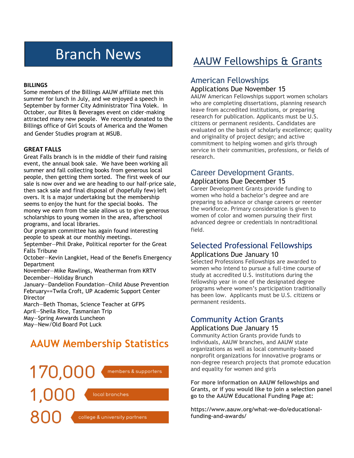# Branch News

#### **BILLINGS**

Some members of the Billings AAUW affiliate met this summer for lunch in July, and we enjoyed a speech in September by former City Administrator Tina Volek. In October, our Bites & Beverages event on cider-making attracted many new people. We recently donated to the Billings office of Girl Scouts of America and the Women and Gender Studies program at MSUB.

#### **GREAT FALLS**

Great Falls branch is in the middle of their fund raising event, the annual book sale. We have been working all summer and fall collecting books from generous local people, then getting them sorted. The first week of our sale is now over and we are heading to our half-price sale, then sack sale and final disposal of (hopefully few) left overs. It is a major undertaking but the membership seems to enjoy the hunt for the special books. The money we earn from the sale allows us to give generous scholarships to young women in the area, afterschool programs, and local libraries.

Our program committee has again found interesting people to speak at our monthly meetings.

September—Phil Drake, Political reporter for the Great Falls Tribune

October—Kevin Langkiet, Head of the Benefis Emergency **Department** 

November—Mike Rawlings, Weatherman from KRTV December—Holiday Brunch

January—Dandelion Foundation—Child Abuse Prevention February==Twila Croft, UP Academic Support Center **Director** 

March—Beth Thomas, Science Teacher at GFPS April—Sheila Rice, Tasmanian Trip May—Spring Awwards Luncheon May—New/Old Board Pot Luck

## **AAUW Membership Statistics**



## [AAUW Fellowships & Grants](https://www.aauw.org/what-we-do/educational-funding-and-awards/)

### [American Fellowships](https://www.aauw.org/what-we-do/educational-funding-and-awards/american-fellowships/)

#### Applications Due November 15

AAUW American Fellowships support women scholars who are completing dissertations, planning research leave from accredited institutions, or preparing research for publication. Applicants must be U.S. citizens or permanent residents. Candidates are evaluated on the basis of scholarly excellence; quality and originality of project design; and active commitment to helping women and girls through service in their communities, professions, or fields of research.

## Career Development Grants.

#### Applications Due December 15

Career Development Grants provide funding to women who hold a bachelor's degree and are preparing to advance or change careers or reenter the workforce. Primary consideration is given to women of color and women pursuing their first advanced degree or credentials in nontraditional field.

## [Selected Professional Fellowships](https://www.aauw.org/what-we-do/educational-funding-and-awards/selected-professions-fellowships/)

#### Applications Due January 10

Selected Professions Fellowships are awarded to women who intend to pursue a full-time course of study at accredited U.S. institutions during the fellowship year in one of the designated degree programs where women's participation traditionally has been low. Applicants must be U.S. citizens or permanent residents.

## [Community Action Grants](https://www.aauw.org/what-we-do/educational-funding-and-awards/community-action-grants/)

#### Applications Due January 15

Community Action Grants provide funds to individuals, AAUW branches, and AAUW state organizations as well as local community-based nonprofit organizations for innovative programs or non-degree research projects that promote education and equality for women and girls

**For more information on AAUW fellowships and Grants, or if you would like to join a selection panel go to the AAUW Educational Funding Page at:**

**https://www.aauw.org/what-we-do/educationalfunding-and-awards/**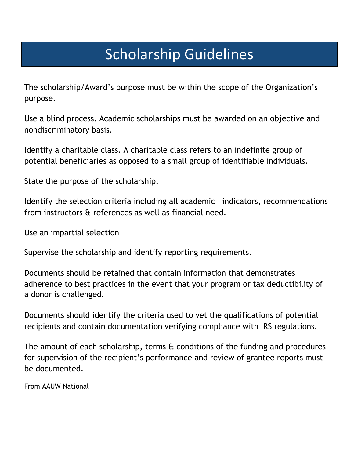# Scholarship Guidelines

The scholarship/Award's purpose must be within the scope of the Organization's purpose.

Use a blind process. Academic scholarships must be awarded on an objective and nondiscriminatory basis.

Identify a charitable class. A charitable class refers to an indefinite group of potential beneficiaries as opposed to a small group of identifiable individuals.

State the purpose of the scholarship.

Identify the selection criteria including all academic indicators, recommendations from instructors & references as well as financial need.

Use an impartial selection

Supervise the scholarship and identify reporting requirements.

Documents should be retained that contain information that demonstrates adherence to best practices in the event that your program or tax deductibility of a donor is challenged.

Documents should identify the criteria used to vet the qualifications of potential recipients and contain documentation verifying compliance with IRS regulations.

The amount of each scholarship, terms  $\alpha$  conditions of the funding and procedures for supervision of the recipient's performance and review of grantee reports must be documented.

From AAUW National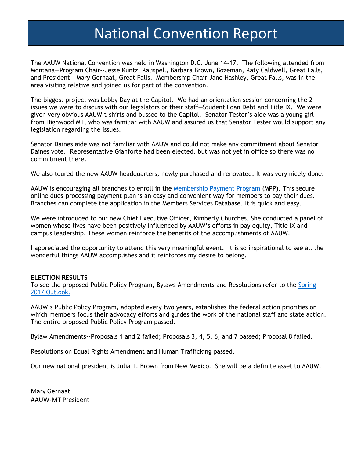## National Convention Report

The AAUW National Convention was held in Washington D.C. June 14-17. The following attended from Montana—Program Chair--Jesse Kuntz, Kalispell, Barbara Brown, Bozeman, Katy Caldwell, Great Falls, and President-- Mary Gernaat, Great Falls. Membership Chair Jane Hashley, Great Falls, was in the area visiting relative and joined us for part of the convention.

The biggest project was Lobby Day at the Capitol. We had an orientation session concerning the 2 issues we were to discuss with our legislators or their staff—Student Loan Debt and Title IX. We were given very obvious AAUW t-shirts and bussed to the Capitol. Senator Tester's aide was a young girl from Highwood MT, who was familiar with AAUW and assured us that Senator Tester would support any legislation regarding the issues.

Senator Daines aide was not familiar with AAUW and could not make any commitment about Senator Daines vote. Representative Gianforte had been elected, but was not yet in office so there was no commitment there.

We also toured the new AAUW headquarters, newly purchased and renovated. It was very nicely done.

AAUW is encouraging all branches to enroll in the [Membership Payment Program](https://www.aauw.org/resource/membership-payment-program/) (MPP). This secure online dues-processing payment plan is an easy and convenient way for members to pay their dues. Branches can complete the application in the Members Services Database. It is quick and easy.

We were introduced to our new Chief Executive Officer, Kimberly Churches. She conducted a panel of women whose lives have been positively influenced by AAUW's efforts in pay equity, Title IX and campus leadership. These women reinforce the benefits of the accomplishments of AAUW.

I appreciated the opportunity to attend this very meaningful event. It is so inspirational to see all the wonderful things AAUW accomplishes and it reinforces my desire to belong.

#### **ELECTION RESULTS**

To see the proposed Public Policy Program, Bylaws Amendments and Resolutions refer to the [Spring](http://online.qmags.com/OL0517#pg1&mode2)  [2017 Outlook.](http://online.qmags.com/OL0517#pg1&mode2)

AAUW's Public Policy Program, adopted every two years, establishes the federal action priorities on which members focus their advocacy efforts and guides the work of the national staff and state action. The entire proposed Public Policy Program passed.

Bylaw Amendments--Proposals 1 and 2 failed; Proposals 3, 4, 5, 6, and 7 passed; Proposal 8 failed.

Resolutions on Equal Rights Amendment and Human Trafficking passed.

Our new national president is Julia T. Brown from New Mexico. She will be a definite asset to AAUW.

Mary Gernaat AAUW-MT President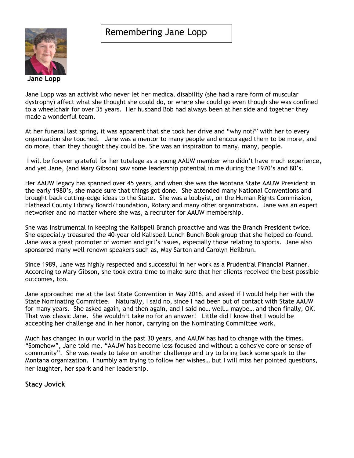### Remembering Jane Lopp



Jane Lopp was an activist who never let her medical disability (she had a rare form of muscular dystrophy) affect what she thought she could do, or where she could go even though she was confined to a wheelchair for over 35 years. Her husband Bob had always been at her side and together they made a wonderful team.

At her funeral last spring, it was apparent that she took her drive and "why not?" with her to every organization she touched. Jane was a mentor to many people and encouraged them to be more, and do more, than they thought they could be. She was an inspiration to many, many, people.

I will be forever grateful for her tutelage as a young AAUW member who didn't have much experience, and yet Jane, (and Mary Gibson) saw some leadership potential in me during the 1970's and 80's.

Her AAUW legacy has spanned over 45 years, and when she was the Montana State AAUW President in the early 1980's, she made sure that things got done. She attended many National Conventions and brought back cutting-edge ideas to the State. She was a lobbyist, on the Human Rights Commission, Flathead County Library Board/Foundation, Rotary and many other organizations. Jane was an expert networker and no matter where she was, a recruiter for AAUW membership.

She was instrumental in keeping the Kalispell Branch proactive and was the Branch President twice. She especially treasured the 40-year old Kalispell Lunch Bunch Book group that she helped co-found. Jane was a great promoter of women and girl's issues, especially those relating to sports. Jane also sponsored many well renown speakers such as, May Sarton and Carolyn Heilbrun.

Since 1989, Jane was highly respected and successful in her work as a Prudential Financial Planner. According to Mary Gibson, she took extra time to make sure that her clients received the best possible outcomes, too.

Jane approached me at the last State Convention in May 2016, and asked if I would help her with the State Nominating Committee. Naturally, I said no, since I had been out of contact with State AAUW for many years. She asked again, and then again, and I said no… well… maybe… and then finally, OK. That was classic Jane. She wouldn't take no for an answer! Little did I know that I would be accepting her challenge and in her honor, carrying on the Nominating Committee work.

Much has changed in our world in the past 30 years, and AAUW has had to change with the times. "Somehow", Jane told me, "AAUW has become less focused and without a cohesive core or sense of community". She was ready to take on another challenge and try to bring back some spark to the Montana organization. I humbly am trying to follow her wishes… but I will miss her pointed questions, her laughter, her spark and her leadership.

#### **Stacy Jovick**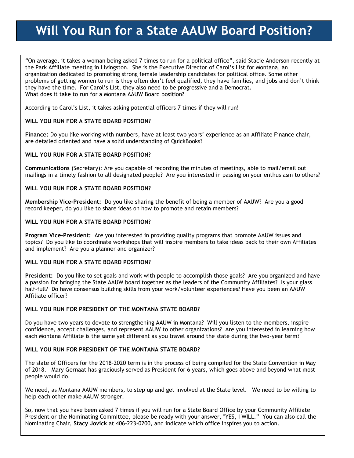## **Will You Run for a State AAUW Board Position?**

"On average, it takes a woman being asked 7 times to run for a political office", said Stacie Anderson recently at the Park Affiliate meeting in Livingston. She is the Executive Director of Carol's List for Montana, an organization dedicated to promoting strong female leadership candidates for political office. Some other problems of getting women to run is they often don't feel qualified, they have families, and jobs and don't think they have the time. For Carol's List, they also need to be progressive and a Democrat. What does it take to run for a Montana AAUW Board position?

According to Carol's List, it takes asking potential officers 7 times if they will run!

#### **WILL YOU RUN FOR A STATE BOARD POSITION?**

**Finance:** Do you like working with numbers, have at least two years' experience as an Affiliate Finance chair, are detailed oriented and have a solid understanding of QuickBooks?

#### **WILL YOU RUN FOR A STATE BOARD POSITION?**

**Communications** (Secretary): Are you capable of recording the minutes of meetings, able to mail/email out mailings in a timely fashion to all designated people? Are you interested in passing on your enthusiasm to others?

#### **WILL YOU RUN FOR A STATE BOARD POSITION?**

**Membership Vice-President:** Do you like sharing the benefit of being a member of AAUW? Are you a good record keeper, do you like to share ideas on how to promote and retain members?

#### **WILL YOU RUN FOR A STATE BOARD POSITION?**

**Program Vice-President:** Are you interested in providing quality programs that promote AAUW issues and topics? Do you like to coordinate workshops that will inspire members to take ideas back to their own Affiliates and implement? Are you a planner and organizer?

#### **WILL YOU RUN FOR A STATE BOARD POSITION?**

**President:** Do you like to set goals and work with people to accomplish those goals? Are you organized and have a passion for bringing the State AAUW board together as the leaders of the Community Affiliates? Is your glass half-full? Do have consensus building skills from your work/volunteer experiences? Have you been an AAUW Affiliate officer?

#### **WILL YOU RUN FOR PRESIDENT OF THE MONTANA STATE BOARD?**

Do you have two years to devote to strengthening AAUW in Montana? Will you listen to the members, inspire confidence, accept challenges, and represent AAUW to other organizations? Are you interested in learning how each Montana Affiliate is the same yet different as you travel around the state during the two-year term?

#### **WILL YOU RUN FOR PRESIDENT OF THE MONTANA STATE BOARD?**

The slate of Officers for the 2018-2020 term is in the process of being compiled for the State Convention in May of 2018. Mary Gernaat has graciously served as President for 6 years, which goes above and beyond what most people would do.

We need, as Montana AAUW members, to step up and get involved at the State level. We need to be willing to help each other make AAUW stronger.

So, now that you have been asked 7 times if you will run for a State Board Office by your Community Affiliate President or the Nominating Committee, please be ready with your answer, "YES, I WILL." You can also call the Nominating Chair, **Stacy Jovick** at 406-223-0200, and indicate which office inspires you to action.